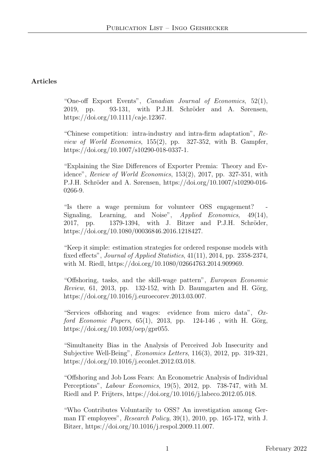## Articles

"One-off Export Events", Canadian Journal of Economics, 52(1), 2019, pp. 93-131, with P.J.H. Schröder and A. Sørensen, https://doi.org/10.1111/caje.12367.

"Chinese competition: intra-industry and intra-firm adaptation", Review of World Economics, 155(2), pp. 327-352, with B. Gampfer, https://doi.org/10.1007/s10290-018-0337-1.

"Explaining the Size Differences of Exporter Premia: Theory and Evidence", Review of World Economics, 153(2), 2017, pp. 327-351, with P.J.H. Schröder and A. Sørensen, https://doi.org/10.1007/s10290-016-0266-9.

"Is there a wage premium for volunteer OSS engagement? Signaling, Learning, and Noise", *Applied Economics*, 49(14), 2017, pp. 1379-1394, with J. Bitzer and P.J.H. Schröder, https://doi.org/10.1080/00036846.2016.1218427.

"Keep it simple: estimation strategies for ordered response models with fixed effects", Journal of Applied Statistics, 41(11), 2014, pp. 2358-2374, with M. Riedl, https://doi.org/10.1080/02664763.2014.909969.

"Offshoring, tasks, and the skill-wage pattern", European Economic Review, 61, 2013, pp. 132-152, with D. Baumgarten and H. Görg, https://doi.org/10.1016/j.euroecorev.2013.03.007.

"Services offshoring and wages: evidence from micro data", Oxford Economic Papers,  $65(1)$ ,  $2013$ , pp.  $124-146$ , with H. Görg, https://doi.org/10.1093/oep/gpr055.

"Simultaneity Bias in the Analysis of Perceived Job Insecurity and Subjective Well-Being", Economics Letters, 116(3), 2012, pp. 319-321, https://doi.org/10.1016/j.econlet.2012.03.018.

"Offshoring and Job Loss Fears: An Econometric Analysis of Individual Perceptions", *Labour Economics*, 19(5), 2012, pp. 738-747, with M. Riedl and P. Frijters, https://doi.org/10.1016/j.labeco.2012.05.018.

"Who Contributes Voluntarily to OSS? An investigation among German IT employees", Research Policy, 39(1), 2010, pp. 165-172, with J. Bitzer, https://doi.org/10.1016/j.respol.2009.11.007.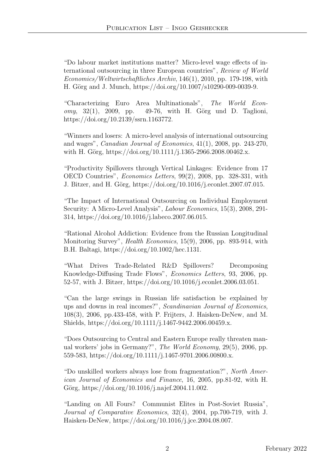"Do labour market institutions matter? Micro-level wage effects of international outsourcing in three European countries", Review of World Economics/Weltwirtschaftliches Archiv, 146(1), 2010, pp. 179-198, with H. Görg and J. Munch, https://doi.org/10.1007/s10290-009-0039-9.

"Characterizing Euro Area Multinationals", The World Econ $omy, 32(1), 2009, pp.$  49-76, with H. Görg und D. Taglioni, https://doi.org/10.2139/ssrn.1163772.

"Winners and losers: A micro-level analysis of international outsourcing and wages", Canadian Journal of Economics, 41(1), 2008, pp. 243-270, with H. Görg, https://doi.org/10.1111/j.1365-2966.2008.00462.x.

"Productivity Spillovers through Vertical Linkages: Evidence from 17 OECD Countries", Economics Letters, 99(2), 2008, pp. 328-331, with J. Bitzer, and H. Görg, https://doi.org/10.1016/j.econlet.2007.07.015.

"The Impact of International Outsourcing on Individual Employment Security: A Micro-Level Analysis", *Labour Economics*, 15(3), 2008, 291-314, https://doi.org/10.1016/j.labeco.2007.06.015.

"Rational Alcohol Addiction: Evidence from the Russian Longitudinal Monitoring Survey", Health Economics, 15(9), 2006, pp. 893-914, with B.H. Baltagi, https://doi.org/10.1002/hec.1131.

"What Drives Trade-Related R&D Spillovers? Decomposing Knowledge-Diffusing Trade Flows", Economics Letters, 93, 2006, pp. 52-57, with J. Bitzer, https://doi.org/10.1016/j.econlet.2006.03.051.

"Can the large swings in Russian life satisfaction be explained by ups and downs in real incomes?", Scandinavian Journal of Economics, 108(3), 2006, pp.433-458, with P. Frijters, J. Haisken-DeNew, and M. Shields, https://doi.org/10.1111/j.1467-9442.2006.00459.x.

"Does Outsourcing to Central and Eastern Europe really threaten manual workers' jobs in Germany?", The World Economy, 29(5), 2006, pp. 559-583, https://doi.org/10.1111/j.1467-9701.2006.00800.x.

"Do unskilled workers always lose from fragmentation?", North American Journal of Economics and Finance, 16, 2005, pp.81-92, with H. Görg, https://doi.org/10.1016/j.najef.2004.11.002.

"Landing on All Fours? Communist Elites in Post-Soviet Russia", Journal of Comparative Economics, 32(4), 2004, pp.700-719, with J. Haisken-DeNew, https://doi.org/10.1016/j.jce.2004.08.007.